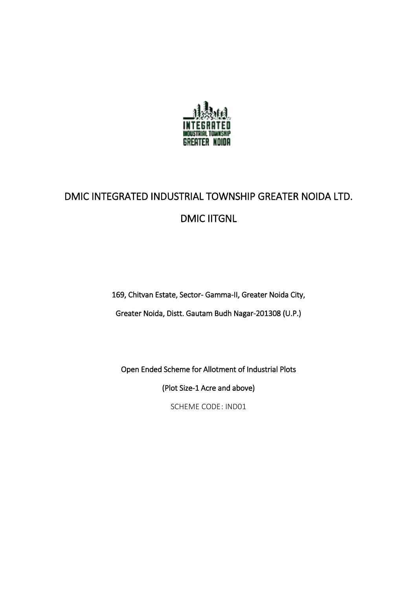

# DMIC INTEGRATED INDUSTRIAL TOWNSHIP GREATER NOIDA LTD. DMIC IITGNL

169, Chitvan Estate, Sector- Gamma-II, Greater Noida City,

Greater Noida, Distt. Gautam Budh Nagar-201308 (U.P.)

Open Ended Scheme for Allotment of Industrial Plots

(Plot Size-1 Acre and above)

SCHEME CODE: IND01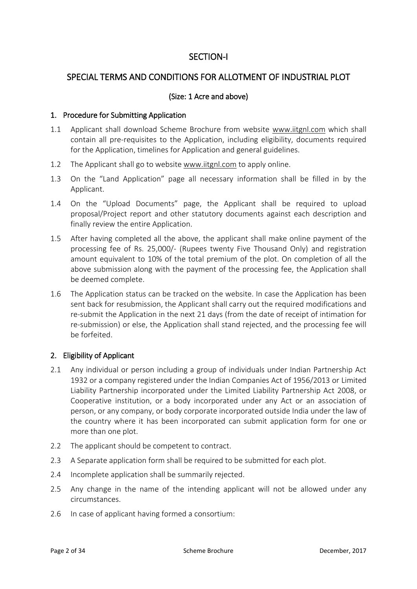# SECTION-I

# SPECIAL TERMS AND CONDITIONS FOR ALLOTMENT OF INDUSTRIAL PLOT

## (Size: 1 Acre and above)

#### 1. Procedure for Submitting Application

- 1.1 Applicant shall download Scheme Brochure from website [www.iitgnl.com](http://www.iitgnl.com/) which shall contain all pre-requisites to the Application, including eligibility, documents required for the Application, timelines for Application and general guidelines.
- 1.2 The Applicant shall go to website [www.iitgnl.com](http://www.iitgnl.com/) to apply online.
- 1.3 On the "Land Application" page all necessary information shall be filled in by the Applicant.
- 1.4 On the "Upload Documents" page, the Applicant shall be required to upload proposal/Project report and other statutory documents against each description and finally review the entire Application.
- 1.5 After having completed all the above, the applicant shall make online payment of the processing fee of Rs. 25,000/- (Rupees twenty Five Thousand Only) and registration amount equivalent to 10% of the total premium of the plot. On completion of all the above submission along with the payment of the processing fee, the Application shall be deemed complete.
- 1.6 The Application status can be tracked on the website. In case the Application has been sent back for resubmission, the Applicant shall carry out the required modifications and re-submit the Application in the next 21 days (from the date of receipt of intimation for re-submission) or else, the Application shall stand rejected, and the processing fee will be forfeited.

#### 2. Eligibility of Applicant

- 2.1 Any individual or person including a group of individuals under Indian Partnership Act 1932 or a company registered under the Indian Companies Act of 1956/2013 or Limited Liability Partnership incorporated under the Limited Liability Partnership Act 2008, or Cooperative institution, or a body incorporated under any Act or an association of person, or any company, or body corporate incorporated outside India under the law of the country where it has been incorporated can submit application form for one or more than one plot.
- 2.2 The applicant should be competent to contract.
- 2.3 A Separate application form shall be required to be submitted for each plot.
- 2.4 Incomplete application shall be summarily rejected.
- 2.5 Any change in the name of the intending applicant will not be allowed under any circumstances.
- 2.6 In case of applicant having formed a consortium: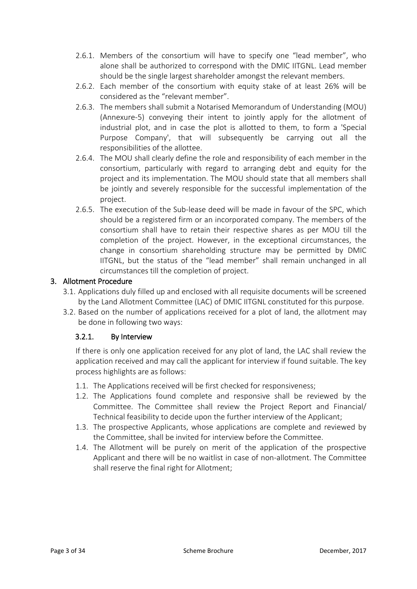- 2.6.1. Members of the consortium will have to specify one "lead member", who alone shall be authorized to correspond with the DMIC IITGNL. Lead member should be the single largest shareholder amongst the relevant members.
- 2.6.2. Each member of the consortium with equity stake of at least 26% will be considered as the "relevant member".
- 2.6.3. The members shall submit a Notarised Memorandum of Understanding (MOU) (Annexure-5) conveying their intent to jointly apply for the allotment of industrial plot, and in case the plot is allotted to them, to form a 'Special Purpose Company', that will subsequently be carrying out all the responsibilities of the allottee.
- 2.6.4. The MOU shall clearly define the role and responsibility of each member in the consortium, particularly with regard to arranging debt and equity for the project and its implementation. The MOU should state that all members shall be jointly and severely responsible for the successful implementation of the project.
- 2.6.5. The execution of the Sub-lease deed will be made in favour of the SPC, which should be a registered firm or an incorporated company. The members of the consortium shall have to retain their respective shares as per MOU till the completion of the project. However, in the exceptional circumstances, the change in consortium shareholding structure may be permitted by DMIC IITGNL, but the status of the "lead member" shall remain unchanged in all circumstances till the completion of project.

## 3. Allotment Procedure

- 3.1. Applications duly filled up and enclosed with all requisite documents will be screened by the Land Allotment Committee (LAC) of DMIC IITGNL constituted for this purpose.
- 3.2. Based on the number of applications received for a plot of land, the allotment may be done in following two ways:

# 3.2.1. By Interview

If there is only one application received for any plot of land, the LAC shall review the application received and may call the applicant for interview if found suitable. The key process highlights are as follows:

- 1.1. The Applications received will be first checked for responsiveness;
- 1.2. The Applications found complete and responsive shall be reviewed by the Committee. The Committee shall review the Project Report and Financial/ Technical feasibility to decide upon the further interview of the Applicant;
- 1.3. The prospective Applicants, whose applications are complete and reviewed by the Committee, shall be invited for interview before the Committee.
- 1.4. The Allotment will be purely on merit of the application of the prospective Applicant and there will be no waitlist in case of non-allotment. The Committee shall reserve the final right for Allotment;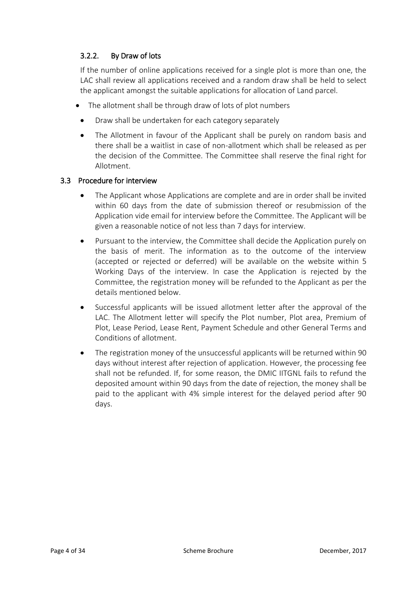# 3.2.2. By Draw of lots

If the number of online applications received for a single plot is more than one, the LAC shall review all applications received and a random draw shall be held to select the applicant amongst the suitable applications for allocation of Land parcel.

- The allotment shall be through draw of lots of plot numbers
- Draw shall be undertaken for each category separately
- The Allotment in favour of the Applicant shall be purely on random basis and there shall be a waitlist in case of non-allotment which shall be released as per the decision of the Committee. The Committee shall reserve the final right for Allotment.

#### 3.3 Procedure for interview

- The Applicant whose Applications are complete and are in order shall be invited within 60 days from the date of submission thereof or resubmission of the Application vide email for interview before the Committee. The Applicant will be given a reasonable notice of not less than 7 days for interview.
- Pursuant to the interview, the Committee shall decide the Application purely on the basis of merit. The information as to the outcome of the interview (accepted or rejected or deferred) will be available on the website within 5 Working Days of the interview. In case the Application is rejected by the Committee, the registration money will be refunded to the Applicant as per the details mentioned below.
- Successful applicants will be issued allotment letter after the approval of the LAC. The Allotment letter will specify the Plot number, Plot area, Premium of Plot, Lease Period, Lease Rent, Payment Schedule and other General Terms and Conditions of allotment.
- The registration money of the unsuccessful applicants will be returned within 90 days without interest after rejection of application. However, the processing fee shall not be refunded. If, for some reason, the DMIC IITGNL fails to refund the deposited amount within 90 days from the date of rejection, the money shall be paid to the applicant with 4% simple interest for the delayed period after 90 days.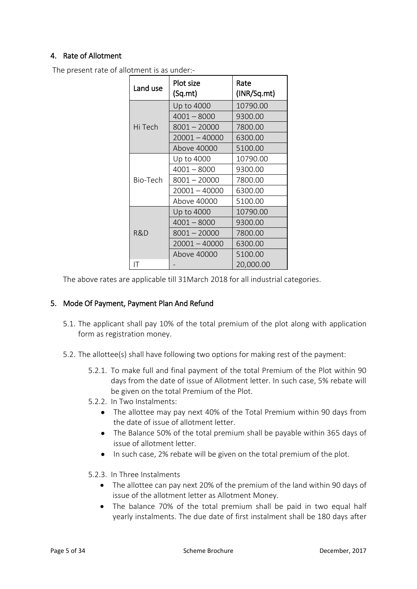## 4. Rate of Allotment

The present rate of allotment is as under:-

| Land use | Plot size<br>(Sq.mt) | Rate<br>(INR/Sq.mt) |  |  |
|----------|----------------------|---------------------|--|--|
|          | Up to 4000           | 10790.00            |  |  |
|          | $4001 - 8000$        | 9300.00             |  |  |
| Hi Tech  | $8001 - 20000$       | 7800.00             |  |  |
|          | $20001 - 40000$      | 6300.00             |  |  |
|          | Above 40000          | 5100.00             |  |  |
|          | Up to 4000           | 10790.00            |  |  |
|          | $4001 - 8000$        | 9300.00             |  |  |
| Bio-Tech | $8001 - 20000$       | 7800.00             |  |  |
|          | 20001 - 40000        | 6300.00             |  |  |
|          | Above 40000          | 5100.00             |  |  |
|          | Up to 4000           | 10790.00            |  |  |
|          | $4001 - 8000$        | 9300.00             |  |  |
| R&D      | $8001 - 20000$       | 7800.00             |  |  |
|          | 20001 - 40000        | 6300.00             |  |  |
|          | Above 40000          | 5100.00             |  |  |
| IΤ       |                      | 20,000.00           |  |  |

The above rates are applicable till 31March 2018 for all industrial categories.

#### 5. Mode Of Payment, Payment Plan And Refund

- 5.1. The applicant shall pay 10% of the total premium of the plot along with application form as registration money.
- 5.2. The allottee(s) shall have following two options for making rest of the payment:
	- 5.2.1. To make full and final payment of the total Premium of the Plot within 90 days from the date of issue of Allotment letter. In such case, 5% rebate will be given on the total Premium of the Plot.
	- 5.2.2. In Two Instalments:
		- The allottee may pay next 40% of the Total Premium within 90 days from the date of issue of allotment letter.
		- The Balance 50% of the total premium shall be payable within 365 days of issue of allotment letter.
		- In such case, 2% rebate will be given on the total premium of the plot.
	- 5.2.3. In Three Instalments
		- The allottee can pay next 20% of the premium of the land within 90 days of issue of the allotment letter as Allotment Money.
		- The balance 70% of the total premium shall be paid in two equal half yearly instalments. The due date of first instalment shall be 180 days after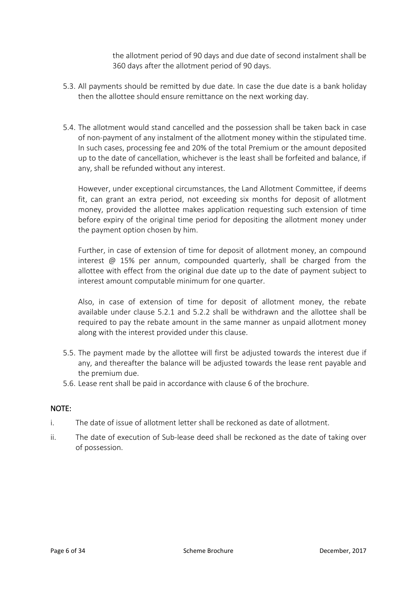the allotment period of 90 days and due date of second instalment shall be 360 days after the allotment period of 90 days.

- 5.3. All payments should be remitted by due date. In case the due date is a bank holiday then the allottee should ensure remittance on the next working day.
- 5.4. The allotment would stand cancelled and the possession shall be taken back in case of non-payment of any instalment of the allotment money within the stipulated time. In such cases, processing fee and 20% of the total Premium or the amount deposited up to the date of cancellation, whichever is the least shall be forfeited and balance, if any, shall be refunded without any interest.

However, under exceptional circumstances, the Land Allotment Committee, if deems fit, can grant an extra period, not exceeding six months for deposit of allotment money, provided the allottee makes application requesting such extension of time before expiry of the original time period for depositing the allotment money under the payment option chosen by him.

Further, in case of extension of time for deposit of allotment money, an compound interest  $\omega$  15% per annum, compounded quarterly, shall be charged from the allottee with effect from the original due date up to the date of payment subject to interest amount computable minimum for one quarter.

Also, in case of extension of time for deposit of allotment money, the rebate available under clause 5.2.1 and 5.2.2 shall be withdrawn and the allottee shall be required to pay the rebate amount in the same manner as unpaid allotment money along with the interest provided under this clause.

- 5.5. The payment made by the allottee will first be adjusted towards the interest due if any, and thereafter the balance will be adjusted towards the lease rent payable and the premium due.
- 5.6. Lease rent shall be paid in accordance with clause 6 of the brochure.

#### NOTE:

- i. The date of issue of allotment letter shall be reckoned as date of allotment.
- ii. The date of execution of Sub-lease deed shall be reckoned as the date of taking over of possession.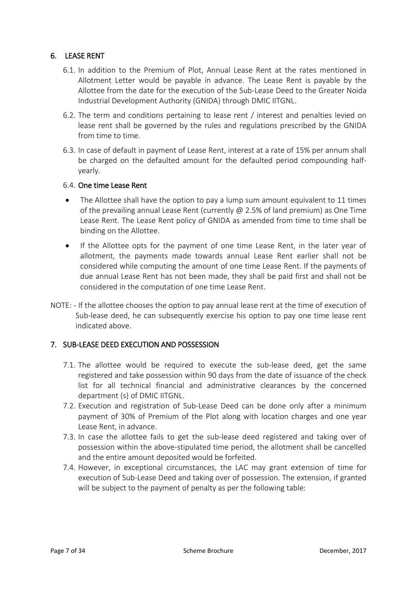## 6. LEASE RENT

- 6.1. In addition to the Premium of Plot, Annual Lease Rent at the rates mentioned in Allotment Letter would be payable in advance. The Lease Rent is payable by the Allottee from the date for the execution of the Sub-Lease Deed to the Greater Noida Industrial Development Authority (GNIDA) through DMIC IITGNL.
- 6.2. The term and conditions pertaining to lease rent / interest and penalties levied on lease rent shall be governed by the rules and regulations prescribed by the GNIDA from time to time.
- 6.3. In case of default in payment of Lease Rent, interest at a rate of 15% per annum shall be charged on the defaulted amount for the defaulted period compounding halfyearly.

#### 6.4. One time Lease Rent

- The Allottee shall have the option to pay a lump sum amount equivalent to 11 times of the prevailing annual Lease Rent (currently @ 2.5% of land premium) as One Time Lease Rent. The Lease Rent policy of GNIDA as amended from time to time shall be binding on the Allottee.
- If the Allottee opts for the payment of one time Lease Rent, in the later year of allotment, the payments made towards annual Lease Rent earlier shall not be considered while computing the amount of one time Lease Rent. If the payments of due annual Lease Rent has not been made, they shall be paid first and shall not be considered in the computation of one time Lease Rent.
- NOTE: If the allottee chooses the option to pay annual lease rent at the time of execution of Sub-lease deed, he can subsequently exercise his option to pay one time lease rent indicated above.

#### 7. SUB-LEASE DEED EXECUTION AND POSSESSION

- 7.1. The allottee would be required to execute the sub-lease deed, get the same registered and take possession within 90 days from the date of issuance of the check list for all technical financial and administrative clearances by the concerned department (s) of DMIC IITGNL.
- 7.2. Execution and registration of Sub-Lease Deed can be done only after a minimum payment of 30% of Premium of the Plot along with location charges and one year Lease Rent, in advance.
- 7.3. In case the allottee fails to get the sub-lease deed registered and taking over of possession within the above-stipulated time period, the allotment shall be cancelled and the entire amount deposited would be forfeited.
- 7.4. However, in exceptional circumstances, the LAC may grant extension of time for execution of Sub-Lease Deed and taking over of possession. The extension, if granted will be subject to the payment of penalty as per the following table: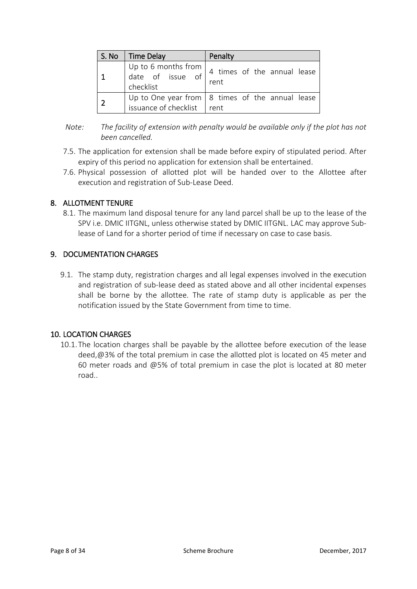| S. No | <b>Time Delay</b>                                            | Penalty                                                         |  |  |  |  |  |
|-------|--------------------------------------------------------------|-----------------------------------------------------------------|--|--|--|--|--|
|       | Up to 6 months from $\vert$<br>date of issue of<br>checklist | 4 times of the annual lease<br>rent                             |  |  |  |  |  |
|       | issuance of checklist                                        | Up to One year from $\vert$ 8 times of the annual lease<br>rent |  |  |  |  |  |

- *Note: The facility of extension with penalty would be available only if the plot has not been cancelled.*
- 7.5. The application for extension shall be made before expiry of stipulated period. After expiry of this period no application for extension shall be entertained.
- 7.6. Physical possession of allotted plot will be handed over to the Allottee after execution and registration of Sub-Lease Deed.

#### 8. ALLOTMENT TENURE

8.1. The maximum land disposal tenure for any land parcel shall be up to the lease of the SPV i.e. DMIC IITGNL, unless otherwise stated by DMIC IITGNL. LAC may approve Sublease of Land for a shorter period of time if necessary on case to case basis.

#### 9. DOCUMENTATION CHARGES

9.1. The stamp duty, registration charges and all legal expenses involved in the execution and registration of sub-lease deed as stated above and all other incidental expenses shall be borne by the allottee. The rate of stamp duty is applicable as per the notification issued by the State Government from time to time.

#### 10. LOCATION CHARGES

10.1.The location charges shall be payable by the allottee before execution of the lease deed,@3% of the total premium in case the allotted plot is located on 45 meter and 60 meter roads and @5% of total premium in case the plot is located at 80 meter road..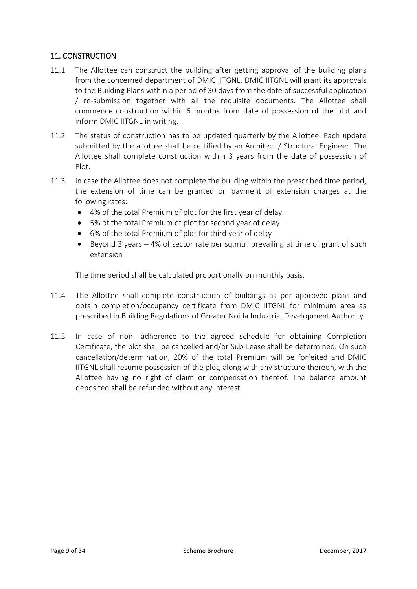## 11. CONSTRUCTION

- 11.1 The Allottee can construct the building after getting approval of the building plans from the concerned department of DMIC IITGNL. DMIC IITGNL will grant its approvals to the Building Plans within a period of 30 days from the date of successful application / re-submission together with all the requisite documents. The Allottee shall commence construction within 6 months from date of possession of the plot and inform DMIC IITGNL in writing.
- 11.2 The status of construction has to be updated quarterly by the Allottee. Each update submitted by the allottee shall be certified by an Architect / Structural Engineer. The Allottee shall complete construction within 3 years from the date of possession of Plot.
- 11.3 In case the Allottee does not complete the building within the prescribed time period, the extension of time can be granted on payment of extension charges at the following rates:
	- 4% of the total Premium of plot for the first year of delay
	- 5% of the total Premium of plot for second year of delay
	- 6% of the total Premium of plot for third year of delay
	- Beyond 3 years 4% of sector rate per sq.mtr. prevailing at time of grant of such extension

The time period shall be calculated proportionally on monthly basis.

- 11.4 The Allottee shall complete construction of buildings as per approved plans and obtain completion/occupancy certificate from DMIC IITGNL for minimum area as prescribed in Building Regulations of Greater Noida Industrial Development Authority.
- 11.5 In case of non- adherence to the agreed schedule for obtaining Completion Certificate, the plot shall be cancelled and/or Sub-Lease shall be determined. On such cancellation/determination, 20% of the total Premium will be forfeited and DMIC IITGNL shall resume possession of the plot, along with any structure thereon, with the Allottee having no right of claim or compensation thereof. The balance amount deposited shall be refunded without any interest.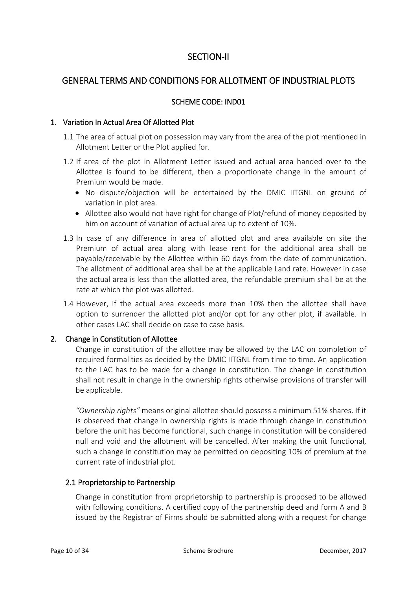# SECTION-II

# GENERAL TERMS AND CONDITIONS FOR ALLOTMENT OF INDUSTRIAL PLOTS

#### SCHEME CODE: IND01

#### 1. Variation In Actual Area Of Allotted Plot

- 1.1 The area of actual plot on possession may vary from the area of the plot mentioned in Allotment Letter or the Plot applied for.
- 1.2 If area of the plot in Allotment Letter issued and actual area handed over to the Allottee is found to be different, then a proportionate change in the amount of Premium would be made.
	- No dispute/objection will be entertained by the DMIC IITGNL on ground of variation in plot area.
	- Allottee also would not have right for change of Plot/refund of money deposited by him on account of variation of actual area up to extent of 10%.
- 1.3 In case of any difference in area of allotted plot and area available on site the Premium of actual area along with lease rent for the additional area shall be payable/receivable by the Allottee within 60 days from the date of communication. The allotment of additional area shall be at the applicable Land rate. However in case the actual area is less than the allotted area, the refundable premium shall be at the rate at which the plot was allotted.
- 1.4 However, if the actual area exceeds more than 10% then the allottee shall have option to surrender the allotted plot and/or opt for any other plot, if available. In other cases LAC shall decide on case to case basis.

#### 2. Change in Constitution of Allottee

Change in constitution of the allottee may be allowed by the LAC on completion of required formalities as decided by the DMIC IITGNL from time to time. An application to the LAC has to be made for a change in constitution. The change in constitution shall not result in change in the ownership rights otherwise provisions of transfer will be applicable.

*"Ownership rights"* means original allottee should possess a minimum 51% shares. If it is observed that change in ownership rights is made through change in constitution before the unit has become functional, such change in constitution will be considered null and void and the allotment will be cancelled. After making the unit functional, such a change in constitution may be permitted on depositing 10% of premium at the current rate of industrial plot.

#### 2.1 Proprietorship to Partnership

Change in constitution from proprietorship to partnership is proposed to be allowed with following conditions. A certified copy of the partnership deed and form A and B issued by the Registrar of Firms should be submitted along with a request for change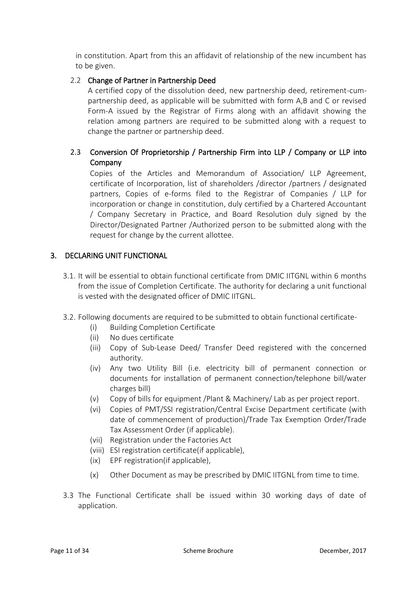in constitution. Apart from this an affidavit of relationship of the new incumbent has to be given.

### 2.2 Change of Partner in Partnership Deed

A certified copy of the dissolution deed, new partnership deed, retirement-cumpartnership deed, as applicable will be submitted with form A,B and C or revised Form-A issued by the Registrar of Firms along with an affidavit showing the relation among partners are required to be submitted along with a request to change the partner or partnership deed.

## 2.3 Conversion Of Proprietorship / Partnership Firm into LLP / Company or LLP into Company

Copies of the Articles and Memorandum of Association/ LLP Agreement, certificate of Incorporation, list of shareholders /director /partners / designated partners, Copies of e-forms filed to the Registrar of Companies / LLP for incorporation or change in constitution, duly certified by a Chartered Accountant / Company Secretary in Practice, and Board Resolution duly signed by the Director/Designated Partner /Authorized person to be submitted along with the request for change by the current allottee.

#### 3. DECLARING UNIT FUNCTIONAL

- 3.1. It will be essential to obtain functional certificate from DMIC IITGNL within 6 months from the issue of Completion Certificate. The authority for declaring a unit functional is vested with the designated officer of DMIC IITGNL.
- 3.2. Following documents are required to be submitted to obtain functional certificate-
	- (i) Building Completion Certificate
	- (ii) No dues certificate
	- (iii) Copy of Sub-Lease Deed/ Transfer Deed registered with the concerned authority.
	- (iv) Any two Utility Bill (i.e. electricity bill of permanent connection or documents for installation of permanent connection/telephone bill/water charges bill)
	- (v) Copy of bills for equipment /Plant & Machinery/ Lab as per project report.
	- (vi) Copies of PMT/SSI registration/Central Excise Department certificate (with date of commencement of production)/Trade Tax Exemption Order/Trade Tax Assessment Order (if applicable).
	- (vii) Registration under the Factories Act
	- (viii) ESI registration certificate(if applicable),
	- (ix) EPF registration(if applicable),
	- (x) Other Document as may be prescribed by DMIC IITGNL from time to time.
- 3.3 The Functional Certificate shall be issued within 30 working days of date of application.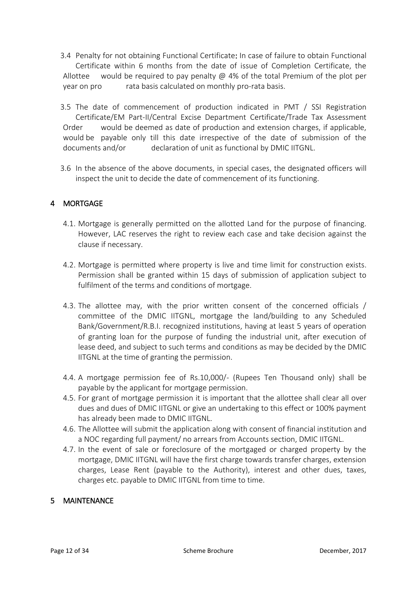- 3.4 Penalty for not obtaining Functional Certificate: In case of failure to obtain Functional Certificate within 6 months from the date of issue of Completion Certificate, the Allottee would be required to pay penalty  $\omega$  4% of the total Premium of the plot per year on pro rata basis calculated on monthly pro-rata basis.
- 3.5 The date of commencement of production indicated in PMT / SSI Registration Certificate/EM Part-II/Central Excise Department Certificate/Trade Tax Assessment Order would be deemed as date of production and extension charges, if applicable, would be payable only till this date irrespective of the date of submission of the documents and/or declaration of unit as functional by DMIC IITGNL.
- 3.6 In the absence of the above documents, in special cases, the designated officers will inspect the unit to decide the date of commencement of its functioning.

## 4 MORTGAGE

- 4.1. Mortgage is generally permitted on the allotted Land for the purpose of financing. However, LAC reserves the right to review each case and take decision against the clause if necessary.
- 4.2. Mortgage is permitted where property is live and time limit for construction exists. Permission shall be granted within 15 days of submission of application subject to fulfilment of the terms and conditions of mortgage.
- 4.3. The allottee may, with the prior written consent of the concerned officials / committee of the DMIC IITGNL, mortgage the land/building to any Scheduled Bank/Government/R.B.I. recognized institutions, having at least 5 years of operation of granting loan for the purpose of funding the industrial unit, after execution of lease deed, and subject to such terms and conditions as may be decided by the DMIC IITGNL at the time of granting the permission.
- 4.4. A mortgage permission fee of Rs.10,000/- (Rupees Ten Thousand only) shall be payable by the applicant for mortgage permission.
- 4.5. For grant of mortgage permission it is important that the allottee shall clear all over dues and dues of DMIC IITGNL or give an undertaking to this effect or 100% payment has already been made to DMIC IITGNL.
- 4.6. The Allottee will submit the application along with consent of financial institution and a NOC regarding full payment/ no arrears from Accounts section, DMIC IITGNL.
- 4.7. In the event of sale or foreclosure of the mortgaged or charged property by the mortgage, DMIC IITGNL will have the first charge towards transfer charges, extension charges, Lease Rent (payable to the Authority), interest and other dues, taxes, charges etc. payable to DMIC IITGNL from time to time.

#### 5 MAINTENANCE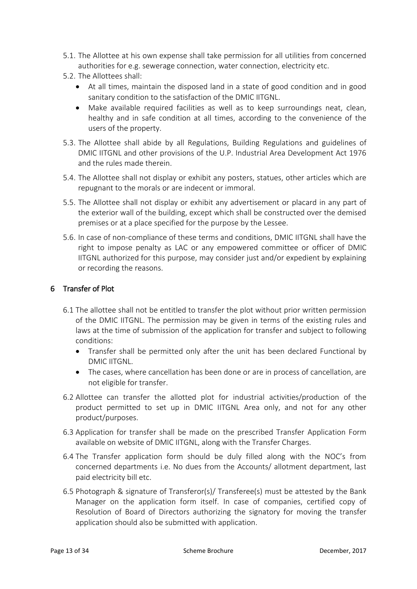- 5.1. The Allottee at his own expense shall take permission for all utilities from concerned authorities for e.g. sewerage connection, water connection, electricity etc.
- 5.2. The Allottees shall:
	- At all times, maintain the disposed land in a state of good condition and in good sanitary condition to the satisfaction of the DMIC IITGNL.
	- Make available required facilities as well as to keep surroundings neat, clean, healthy and in safe condition at all times, according to the convenience of the users of the property.
- 5.3. The Allottee shall abide by all Regulations, Building Regulations and guidelines of DMIC IITGNL and other provisions of the U.P. Industrial Area Development Act 1976 and the rules made therein.
- 5.4. The Allottee shall not display or exhibit any posters, statues, other articles which are repugnant to the morals or are indecent or immoral.
- 5.5. The Allottee shall not display or exhibit any advertisement or placard in any part of the exterior wall of the building, except which shall be constructed over the demised premises or at a place specified for the purpose by the Lessee.
- 5.6. In case of non-compliance of these terms and conditions, DMIC IITGNL shall have the right to impose penalty as LAC or any empowered committee or officer of DMIC IITGNL authorized for this purpose, may consider just and/or expedient by explaining or recording the reasons.

#### 6 Transfer of Plot

- 6.1 The allottee shall not be entitled to transfer the plot without prior written permission of the DMIC IITGNL. The permission may be given in terms of the existing rules and laws at the time of submission of the application for transfer and subject to following conditions:
	- Transfer shall be permitted only after the unit has been declared Functional by DMIC IITGNL.
	- The cases, where cancellation has been done or are in process of cancellation, are not eligible for transfer.
- 6.2 Allottee can transfer the allotted plot for industrial activities/production of the product permitted to set up in DMIC IITGNL Area only, and not for any other product/purposes.
- 6.3 Application for transfer shall be made on the prescribed Transfer Application Form available on website of DMIC IITGNL, along with the Transfer Charges.
- 6.4 The Transfer application form should be duly filled along with the NOC's from concerned departments i.e. No dues from the Accounts/ allotment department, last paid electricity bill etc.
- 6.5 Photograph & signature of Transferor(s)/ Transferee(s) must be attested by the Bank Manager on the application form itself. In case of companies, certified copy of Resolution of Board of Directors authorizing the signatory for moving the transfer application should also be submitted with application.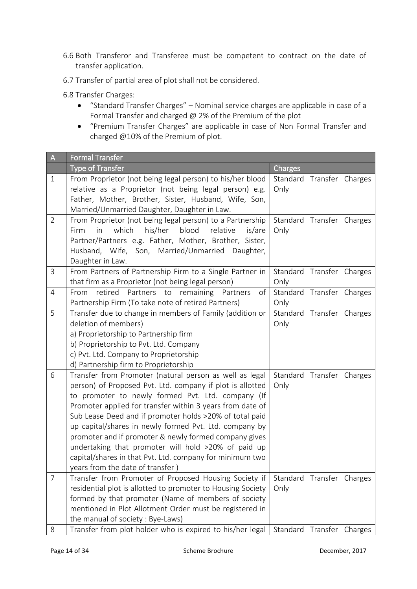- 6.6 Both Transferor and Transferee must be competent to contract on the date of transfer application.
- 6.7 Transfer of partial area of plot shall not be considered.
- 6.8 Transfer Charges:
	- "Standard Transfer Charges" Nominal service charges are applicable in case of a Formal Transfer and charged @ 2% of the Premium of the plot
	- "Premium Transfer Charges" are applicable in case of Non Formal Transfer and charged @10% of the Premium of plot.

| $\overline{A}$ | <b>Formal Transfer</b>                                                                                       |                           |  |
|----------------|--------------------------------------------------------------------------------------------------------------|---------------------------|--|
|                | <b>Type of Transfer</b>                                                                                      | Charges                   |  |
| $\mathbf{1}$   | From Proprietor (not being legal person) to his/her blood                                                    | Standard Transfer Charges |  |
|                | relative as a Proprietor (not being legal person) e.g.                                                       | Only                      |  |
|                | Father, Mother, Brother, Sister, Husband, Wife, Son,                                                         |                           |  |
|                | Married/Unmarried Daughter, Daughter in Law.                                                                 |                           |  |
| $\overline{2}$ | From Proprietor (not being legal person) to a Partnership                                                    | Standard Transfer Charges |  |
|                | in<br>which<br>his/her<br>blood<br>Firm<br>relative<br>is/are                                                | Only                      |  |
|                | Partner/Partners e.g. Father, Mother, Brother, Sister,                                                       |                           |  |
|                | Husband, Wife, Son, Married/Unmarried Daughter,                                                              |                           |  |
|                | Daughter in Law.                                                                                             |                           |  |
| 3              | From Partners of Partnership Firm to a Single Partner in                                                     | Standard Transfer Charges |  |
|                | that firm as a Proprietor (not being legal person)                                                           | Only                      |  |
| 4              | retired<br>Partners to remaining<br>of<br>From<br>Partners                                                   | Standard Transfer Charges |  |
|                | Partnership Firm (To take note of retired Partners)                                                          | Only                      |  |
| 5              | Transfer due to change in members of Family (addition or                                                     | Standard Transfer Charges |  |
|                | deletion of members)                                                                                         | Only                      |  |
|                | a) Proprietorship to Partnership firm                                                                        |                           |  |
|                | b) Proprietorship to Pvt. Ltd. Company                                                                       |                           |  |
|                | c) Pvt. Ltd. Company to Proprietorship                                                                       |                           |  |
|                | d) Partnership firm to Proprietorship                                                                        |                           |  |
| 6              | Transfer from Promoter (natural person as well as legal                                                      | Standard Transfer Charges |  |
|                | person) of Proposed Pvt. Ltd. company if plot is allotted                                                    | Only                      |  |
|                | to promoter to newly formed Pvt. Ltd. company (If                                                            |                           |  |
|                | Promoter applied for transfer within 3 years from date of                                                    |                           |  |
|                | Sub Lease Deed and if promoter holds >20% of total paid                                                      |                           |  |
|                | up capital/shares in newly formed Pvt. Ltd. company by                                                       |                           |  |
|                | promoter and if promoter & newly formed company gives<br>undertaking that promoter will hold >20% of paid up |                           |  |
|                | capital/shares in that Pvt. Ltd. company for minimum two                                                     |                           |  |
|                | years from the date of transfer)                                                                             |                           |  |
| $\overline{7}$ | Transfer from Promoter of Proposed Housing Society if                                                        | Standard Transfer Charges |  |
|                | residential plot is allotted to promoter to Housing Society                                                  | Only                      |  |
|                | formed by that promoter (Name of members of society                                                          |                           |  |
|                | mentioned in Plot Allotment Order must be registered in                                                      |                           |  |
|                | the manual of society : Bye-Laws)                                                                            |                           |  |
| 8              | Transfer from plot holder who is expired to his/her legal                                                    | Standard Transfer Charges |  |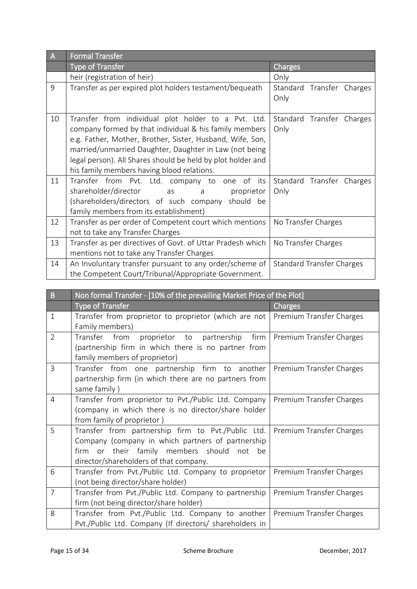| $\overline{A}$ | <b>Formal Transfer</b>                                                                                                                                                                                                                                                                                                                                                                                                        |                                   |  |  |  |
|----------------|-------------------------------------------------------------------------------------------------------------------------------------------------------------------------------------------------------------------------------------------------------------------------------------------------------------------------------------------------------------------------------------------------------------------------------|-----------------------------------|--|--|--|
|                | <b>Type of Transfer</b>                                                                                                                                                                                                                                                                                                                                                                                                       | Charges                           |  |  |  |
|                | heir (registration of heir)                                                                                                                                                                                                                                                                                                                                                                                                   | Only                              |  |  |  |
| 9              | Transfer as per expired plot holders testament/bequeath                                                                                                                                                                                                                                                                                                                                                                       | Standard Transfer Charges<br>Only |  |  |  |
| 10             | Transfer from individual plot holder to a Pvt. Ltd.<br>company formed by that individual & his family members<br>e.g. Father, Mother, Brother, Sister, Husband, Wife, Son,<br>married/unmarried Daughter, Daughter in Law (not being<br>legal person). All Shares should be held by plot holder and<br>his family members having blood relations.                                                                             | Standard Transfer Charges<br>Only |  |  |  |
| 11             | Transfer from Pvt. Ltd. company to one<br>of its<br>shareholder/director<br>proprietor<br>as and the state of the state of the state of the state of the state of the state of the state of the state of the state of the state of the state of the state of the state of the state of the state of the state of the stat<br>a<br>(shareholders/directors of such company should be<br>family members from its establishment) | Standard Transfer Charges<br>Only |  |  |  |
| 12             | Transfer as per order of Competent court which mentions<br>not to take any Transfer Charges                                                                                                                                                                                                                                                                                                                                   | No Transfer Charges               |  |  |  |
| 13             | Transfer as per directives of Govt. of Uttar Pradesh which<br>mentions not to take any Transfer Charges                                                                                                                                                                                                                                                                                                                       | No Transfer Charges               |  |  |  |
| 14             | An Involuntary transfer pursuant to any order/scheme of<br>the Competent Court/Tribunal/Appropriate Government.                                                                                                                                                                                                                                                                                                               | <b>Standard Transfer Charges</b>  |  |  |  |

| B              | Non formal Transfer - [10% of the prevailing Market Price of the Plot]           |                          |  |  |  |  |  |  |  |
|----------------|----------------------------------------------------------------------------------|--------------------------|--|--|--|--|--|--|--|
|                | <b>Type of Transfer</b>                                                          | Charges                  |  |  |  |  |  |  |  |
| $\mathbf{1}$   | Transfer from proprietor to proprietor (which are not   Premium Transfer Charges |                          |  |  |  |  |  |  |  |
|                | Family members)                                                                  |                          |  |  |  |  |  |  |  |
| $\overline{2}$ | firm<br>Transfer from<br>proprietor to partnership                               | Premium Transfer Charges |  |  |  |  |  |  |  |
|                | (partnership firm in which there is no partner from                              |                          |  |  |  |  |  |  |  |
|                | family members of proprietor)                                                    |                          |  |  |  |  |  |  |  |
| 3              | Transfer from one partnership firm to another                                    | Premium Transfer Charges |  |  |  |  |  |  |  |
|                | partnership firm (in which there are no partners from                            |                          |  |  |  |  |  |  |  |
|                | same family)                                                                     |                          |  |  |  |  |  |  |  |
| $\overline{4}$ | Transfer from proprietor to Pvt./Public Ltd. Company                             | Premium Transfer Charges |  |  |  |  |  |  |  |
|                | (company in which there is no director/share holder                              |                          |  |  |  |  |  |  |  |
|                | from family of proprietor)                                                       |                          |  |  |  |  |  |  |  |
| 5              | Transfer from partnership firm to Pvt./Public Ltd.                               | Premium Transfer Charges |  |  |  |  |  |  |  |
|                | Company (company in which partners of partnership                                |                          |  |  |  |  |  |  |  |
|                | or their family members should<br>firm<br>not<br>be                              |                          |  |  |  |  |  |  |  |
|                | director/shareholders of that company.                                           |                          |  |  |  |  |  |  |  |
| 6              | Transfer from Pvt./Public Ltd. Company to proprietor                             | Premium Transfer Charges |  |  |  |  |  |  |  |
|                | (not being director/share holder)                                                |                          |  |  |  |  |  |  |  |
| $\overline{7}$ | Transfer from Pvt./Public Ltd. Company to partnership                            | Premium Transfer Charges |  |  |  |  |  |  |  |
|                | firm (not being director/share holder)                                           |                          |  |  |  |  |  |  |  |
| 8              | Transfer from Pvt./Public Ltd. Company to another                                | Premium Transfer Charges |  |  |  |  |  |  |  |
|                | Pvt./Public Ltd. Company (If directors/ shareholders in                          |                          |  |  |  |  |  |  |  |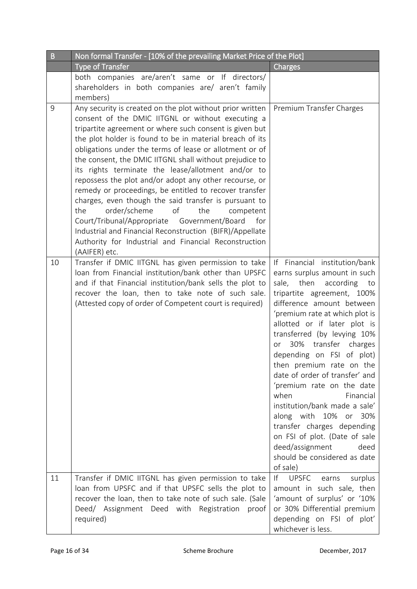| B  | Non formal Transfer - [10% of the prevailing Market Price of the Plot]                                                                                                                                                                                                                                                                                                                                                                                                                                                                                                                                                                                                                                                                                                                                                                      |                                                                                                                                                                                                                                                                                                                                                                                                                                                                                                                                                                                                                                                |
|----|---------------------------------------------------------------------------------------------------------------------------------------------------------------------------------------------------------------------------------------------------------------------------------------------------------------------------------------------------------------------------------------------------------------------------------------------------------------------------------------------------------------------------------------------------------------------------------------------------------------------------------------------------------------------------------------------------------------------------------------------------------------------------------------------------------------------------------------------|------------------------------------------------------------------------------------------------------------------------------------------------------------------------------------------------------------------------------------------------------------------------------------------------------------------------------------------------------------------------------------------------------------------------------------------------------------------------------------------------------------------------------------------------------------------------------------------------------------------------------------------------|
|    | <b>Type of Transfer</b>                                                                                                                                                                                                                                                                                                                                                                                                                                                                                                                                                                                                                                                                                                                                                                                                                     | Charges                                                                                                                                                                                                                                                                                                                                                                                                                                                                                                                                                                                                                                        |
|    | both companies are/aren't same or If directors/<br>shareholders in both companies are/ aren't family<br>members)                                                                                                                                                                                                                                                                                                                                                                                                                                                                                                                                                                                                                                                                                                                            |                                                                                                                                                                                                                                                                                                                                                                                                                                                                                                                                                                                                                                                |
| 9  | Any security is created on the plot without prior written<br>consent of the DMIC IITGNL or without executing a<br>tripartite agreement or where such consent is given but<br>the plot holder is found to be in material breach of its<br>obligations under the terms of lease or allotment or of<br>the consent, the DMIC IITGNL shall without prejudice to<br>its rights terminate the lease/allotment and/or to<br>repossess the plot and/or adopt any other recourse, or<br>remedy or proceedings, be entitled to recover transfer<br>charges, even though the said transfer is pursuant to<br>order/scheme<br>of<br>the<br>the<br>competent<br>Court/Tribunal/Appropriate Government/Board<br>for<br>Industrial and Financial Reconstruction (BIFR)/Appellate<br>Authority for Industrial and Financial Reconstruction<br>(AAIFER) etc. | Premium Transfer Charges                                                                                                                                                                                                                                                                                                                                                                                                                                                                                                                                                                                                                       |
| 10 | Transfer if DMIC IITGNL has given permission to take<br>loan from Financial institution/bank other than UPSFC<br>and if that Financial institution/bank sells the plot to<br>recover the loan, then to take note of such sale.<br>(Attested copy of order of Competent court is required)                                                                                                                                                                                                                                                                                                                                                                                                                                                                                                                                                   | If Financial institution/bank<br>earns surplus amount in such<br>then<br>sale,<br>according<br>to<br>tripartite agreement, 100%<br>difference amount between<br>'premium rate at which plot is<br>allotted or if later plot is<br>transferred (by levying 10%<br>30%<br>transfer charges<br>0r<br>depending on FSI of plot)<br>then premium rate on the<br>date of order of transfer' and<br>'premium rate on the date<br>Financial<br>when<br>institution/bank made a sale'<br>along with 10% or<br>30%<br>transfer charges depending<br>on FSI of plot. (Date of sale<br>deed/assignment<br>deed<br>should be considered as date<br>of sale) |
| 11 | Transfer if DMIC IITGNL has given permission to take<br>loan from UPSFC and if that UPSFC sells the plot to<br>recover the loan, then to take note of such sale. (Sale<br>Deed/ Assignment Deed with Registration<br>proof<br>required)                                                                                                                                                                                                                                                                                                                                                                                                                                                                                                                                                                                                     | f <br><b>UPSFC</b><br>surplus<br>earns<br>amount in such sale, then<br>'amount of surplus' or '10%<br>or 30% Differential premium<br>depending on FSI of plot'<br>whichever is less.                                                                                                                                                                                                                                                                                                                                                                                                                                                           |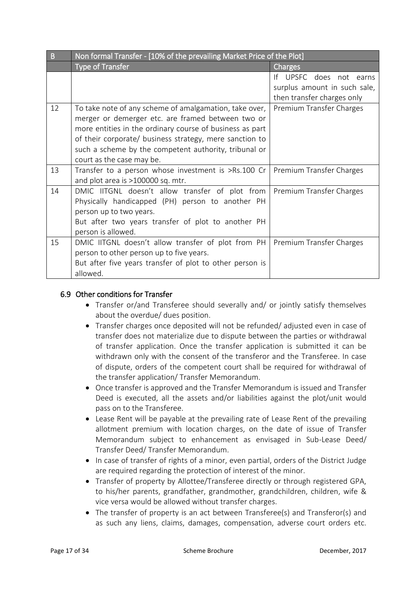| B  | Non formal Transfer - [10% of the prevailing Market Price of the Plot]                                                                                                                                                                                                                                                   |                                                                                          |  |  |  |  |  |  |
|----|--------------------------------------------------------------------------------------------------------------------------------------------------------------------------------------------------------------------------------------------------------------------------------------------------------------------------|------------------------------------------------------------------------------------------|--|--|--|--|--|--|
|    | <b>Type of Transfer</b>                                                                                                                                                                                                                                                                                                  | <b>Charges</b>                                                                           |  |  |  |  |  |  |
|    |                                                                                                                                                                                                                                                                                                                          | UPSFC does not earns<br>Ιf<br>surplus amount in such sale,<br>then transfer charges only |  |  |  |  |  |  |
| 12 | To take note of any scheme of amalgamation, take over,<br>merger or demerger etc. are framed between two or<br>more entities in the ordinary course of business as part<br>of their corporate/ business strategy, mere sanction to<br>such a scheme by the competent authority, tribunal or<br>court as the case may be. | Premium Transfer Charges                                                                 |  |  |  |  |  |  |
| 13 | Transfer to a person whose investment is >Rs.100 Cr<br>and plot area is >100000 sq. mtr.                                                                                                                                                                                                                                 | Premium Transfer Charges                                                                 |  |  |  |  |  |  |
| 14 | DMIC IITGNL doesn't allow transfer of plot from<br>Physically handicapped (PH) person to another PH<br>person up to two years.<br>But after two years transfer of plot to another PH<br>person is allowed.                                                                                                               | Premium Transfer Charges                                                                 |  |  |  |  |  |  |
| 15 | DMIC IITGNL doesn't allow transfer of plot from PH<br>person to other person up to five years.<br>But after five years transfer of plot to other person is<br>allowed.                                                                                                                                                   | Premium Transfer Charges                                                                 |  |  |  |  |  |  |

### 6.9 Other conditions for Transfer

- Transfer or/and Transferee should severally and/ or jointly satisfy themselves about the overdue/ dues position.
- Transfer charges once deposited will not be refunded/ adjusted even in case of transfer does not materialize due to dispute between the parties or withdrawal of transfer application. Once the transfer application is submitted it can be withdrawn only with the consent of the transferor and the Transferee. In case of dispute, orders of the competent court shall be required for withdrawal of the transfer application/ Transfer Memorandum.
- Once transfer is approved and the Transfer Memorandum is issued and Transfer Deed is executed, all the assets and/or liabilities against the plot/unit would pass on to the Transferee.
- Lease Rent will be payable at the prevailing rate of Lease Rent of the prevailing allotment premium with location charges, on the date of issue of Transfer Memorandum subject to enhancement as envisaged in Sub-Lease Deed/ Transfer Deed/ Transfer Memorandum.
- In case of transfer of rights of a minor, even partial, orders of the District Judge are required regarding the protection of interest of the minor.
- Transfer of property by Allottee/Transferee directly or through registered GPA, to his/her parents, grandfather, grandmother, grandchildren, children, wife & vice versa would be allowed without transfer charges.
- The transfer of property is an act between Transferee(s) and Transferor(s) and as such any liens, claims, damages, compensation, adverse court orders etc.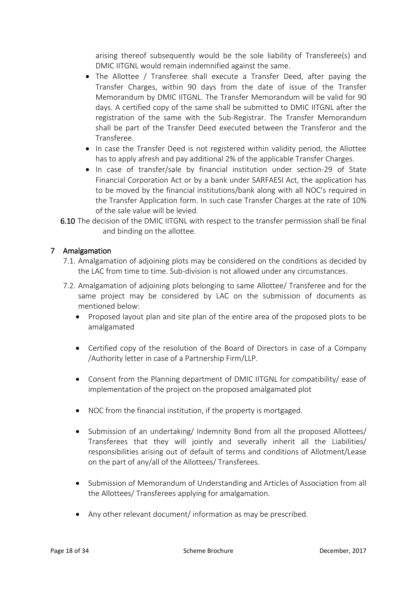arising thereof subsequently would be the sole liability of Transferee(s) and DMIC IITGNL would remain indemnified against the same.

- The Allottee / Transferee shall execute a Transfer Deed, after paying the Transfer Charges, within 90 days from the date of issue of the Transfer Memorandum by DMIC IITGNL. The Transfer Memorandum will be valid for 90 days. A certified copy of the same shall be submitted to DMIC IITGNL after the registration of the same with the Sub-Registrar. The Transfer Memorandum shall be part of the Transfer Deed executed between the Transferor and the Transferee.
- In case the Transfer Deed is not registered within validity period, the Allottee has to apply afresh and pay additional 2% of the applicable Transfer Charges.
- In case of transfer/sale by financial institution under section-29 of State Financial Corporation Act or by a bank under SARFAESI Act, the application has to be moved by the financial institutions/bank along with all NOC's required in the Transfer Application form. In such case Transfer Charges at the rate of 10% of the sale value will be levied.
- 6.10 The decision of the DMIC IITGNL with respect to the transfer permission shall be final and binding on the allottee.

## 7 Amalgamation

- 7.1. Amalgamation of adjoining plots may be considered on the conditions as decided by the LAC from time to time. Sub-division is not allowed under any circumstances.
- 7.2. Amalgamation of adjoining plots belonging to same Allottee/ Transferee and for the same project may be considered by LAC on the submission of documents as mentioned below:
	- Proposed layout plan and site plan of the entire area of the proposed plots to be amalgamated
	- Certified copy of the resolution of the Board of Directors in case of a Company /Authority letter in case of a Partnership Firm/LLP.
	- Consent from the Planning department of DMIC IITGNL for compatibility/ ease of implementation of the project on the proposed amalgamated plot
	- NOC from the financial institution, if the property is mortgaged.
	- Submission of an undertaking/ Indemnity Bond from all the proposed Allottees/ Transferees that they will jointly and severally inherit all the Liabilities/ responsibilities arising out of default of terms and conditions of Allotment/Lease on the part of any/all of the Allottees/ Transferees.
	- Submission of Memorandum of Understanding and Articles of Association from all the Allottees/ Transferees applying for amalgamation.
	- Any other relevant document/ information as may be prescribed.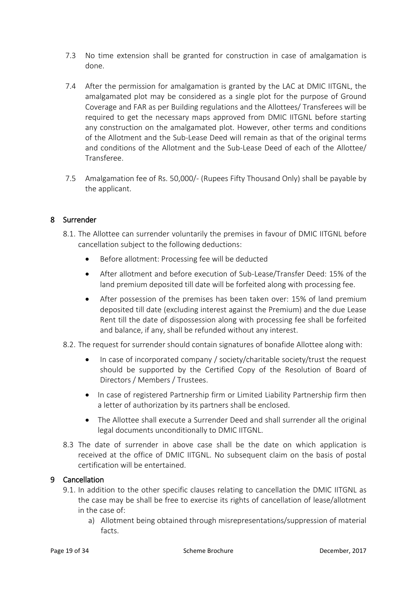- 7.3 No time extension shall be granted for construction in case of amalgamation is done.
- 7.4 After the permission for amalgamation is granted by the LAC at DMIC IITGNL, the amalgamated plot may be considered as a single plot for the purpose of Ground Coverage and FAR as per Building regulations and the Allottees/ Transferees will be required to get the necessary maps approved from DMIC IITGNL before starting any construction on the amalgamated plot. However, other terms and conditions of the Allotment and the Sub-Lease Deed will remain as that of the original terms and conditions of the Allotment and the Sub-Lease Deed of each of the Allottee/ Transferee.
- 7.5 Amalgamation fee of Rs. 50,000/- (Rupees Fifty Thousand Only) shall be payable by the applicant.

#### 8 Surrender

- 8.1. The Allottee can surrender voluntarily the premises in favour of DMIC IITGNL before cancellation subject to the following deductions:
	- Before allotment: Processing fee will be deducted
	- After allotment and before execution of Sub-Lease/Transfer Deed: 15% of the land premium deposited till date will be forfeited along with processing fee.
	- After possession of the premises has been taken over: 15% of land premium deposited till date (excluding interest against the Premium) and the due Lease Rent till the date of dispossession along with processing fee shall be forfeited and balance, if any, shall be refunded without any interest.
- 8.2. The request for surrender should contain signatures of bonafide Allottee along with:
	- In case of incorporated company / society/charitable society/trust the request should be supported by the Certified Copy of the Resolution of Board of Directors / Members / Trustees.
	- In case of registered Partnership firm or Limited Liability Partnership firm then a letter of authorization by its partners shall be enclosed.
	- The Allottee shall execute a Surrender Deed and shall surrender all the original legal documents unconditionally to DMIC IITGNL.
- 8.3 The date of surrender in above case shall be the date on which application is received at the office of DMIC IITGNL. No subsequent claim on the basis of postal certification will be entertained.

#### 9 Cancellation

- 9.1. In addition to the other specific clauses relating to cancellation the DMIC IITGNL as the case may be shall be free to exercise its rights of cancellation of lease/allotment in the case of:
	- a) Allotment being obtained through misrepresentations/suppression of material facts.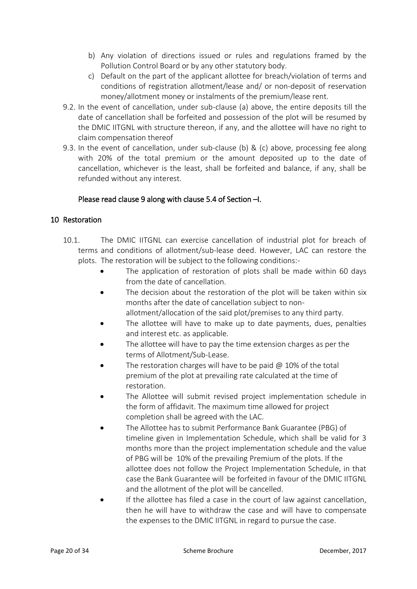- b) Any violation of directions issued or rules and regulations framed by the Pollution Control Board or by any other statutory body.
- c) Default on the part of the applicant allottee for breach/violation of terms and conditions of registration allotment/lease and/ or non-deposit of reservation money/allotment money or instalments of the premium/lease rent.
- 9.2. In the event of cancellation, under sub-clause (a) above, the entire deposits till the date of cancellation shall be forfeited and possession of the plot will be resumed by the DMIC IITGNL with structure thereon, if any, and the allottee will have no right to claim compensation thereof
- 9.3. In the event of cancellation, under sub-clause (b) & (c) above, processing fee along with 20% of the total premium or the amount deposited up to the date of cancellation, whichever is the least, shall be forfeited and balance, if any, shall be refunded without any interest.

## Please read clause 9 along with clause 5.4 of Section –I.

## 10 Restoration

- 10.1. The DMIC IITGNL can exercise cancellation of industrial plot for breach of terms and conditions of allotment/sub-lease deed. However, LAC can restore the plots. The restoration will be subject to the following conditions:-
	- The application of restoration of plots shall be made within 60 days from the date of cancellation.
	- The decision about the restoration of the plot will be taken within six months after the date of cancellation subject to nonallotment/allocation of the said plot/premises to any third party.
	- The allottee will have to make up to date payments, dues, penalties and interest etc. as applicable.
	- The allottee will have to pay the time extension charges as per the terms of Allotment/Sub-Lease.
	- The restoration charges will have to be paid  $@10\%$  of the total premium of the plot at prevailing rate calculated at the time of restoration.
	- The Allottee will submit revised project implementation schedule in the form of affidavit. The maximum time allowed for project completion shall be agreed with the LAC.
	- The Allottee has to submit Performance Bank Guarantee (PBG) of timeline given in Implementation Schedule, which shall be valid for 3 months more than the project implementation schedule and the value of PBG will be 10% of the prevailing Premium of the plots. If the allottee does not follow the Project Implementation Schedule, in that case the Bank Guarantee will be forfeited in favour of the DMIC IITGNL and the allotment of the plot will be cancelled.
	- If the allottee has filed a case in the court of law against cancellation, then he will have to withdraw the case and will have to compensate the expenses to the DMIC IITGNL in regard to pursue the case.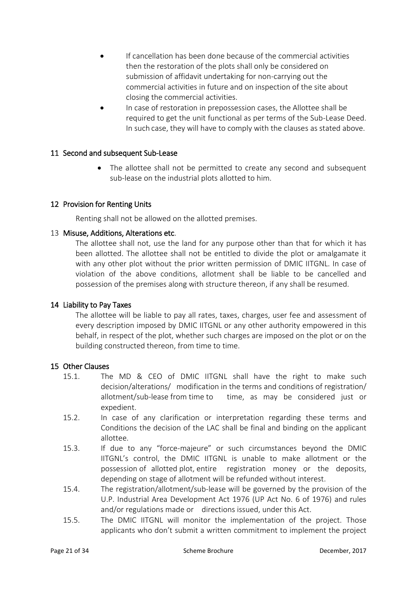- If cancellation has been done because of the commercial activities then the restoration of the plots shall only be considered on submission of affidavit undertaking for non-carrying out the commercial activities in future and on inspection of the site about closing the commercial activities.
- In case of restoration in prepossession cases, the Allottee shall be required to get the unit functional as per terms of the Sub-Lease Deed. In such case, they will have to comply with the clauses as stated above.

#### 11 Second and subsequent Sub-Lease

• The allottee shall not be permitted to create any second and subsequent sub-lease on the industrial plots allotted to him.

#### 12 Provision for Renting Units

Renting shall not be allowed on the allotted premises.

#### 13 Misuse, Additions, Alterations etc.

The allottee shall not, use the land for any purpose other than that for which it has been allotted. The allottee shall not be entitled to divide the plot or amalgamate it with any other plot without the prior written permission of DMIC IITGNL. In case of violation of the above conditions, allotment shall be liable to be cancelled and possession of the premises along with structure thereon, if any shall be resumed.

#### 14 Liability to Pay Taxes

The allottee will be liable to pay all rates, taxes, charges, user fee and assessment of every description imposed by DMIC IITGNL or any other authority empowered in this behalf, in respect of the plot, whether such charges are imposed on the plot or on the building constructed thereon, from time to time.

#### 15 Other Clauses

- 15.1. The MD & CEO of DMIC IITGNL shall have the right to make such decision/alterations/ modification in the terms and conditions of registration/ allotment/sub-lease from time to time, as may be considered just or expedient.
- 15.2. In case of any clarification or interpretation regarding these terms and Conditions the decision of the LAC shall be final and binding on the applicant allottee.
- 15.3. If due to any "force-majeure" or such circumstances beyond the DMIC IITGNL's control, the DMIC IITGNL is unable to make allotment or the possession of allotted plot, entire registration money or the deposits, depending on stage of allotment will be refunded without interest.
- 15.4. The registration/allotment/sub-lease will be governed by the provision of the U.P. Industrial Area Development Act 1976 (UP Act No. 6 of 1976) and rules and/or regulations made or directions issued, under this Act.
- 15.5. The DMIC IITGNL will monitor the implementation of the project. Those applicants who don't submit a written commitment to implement the project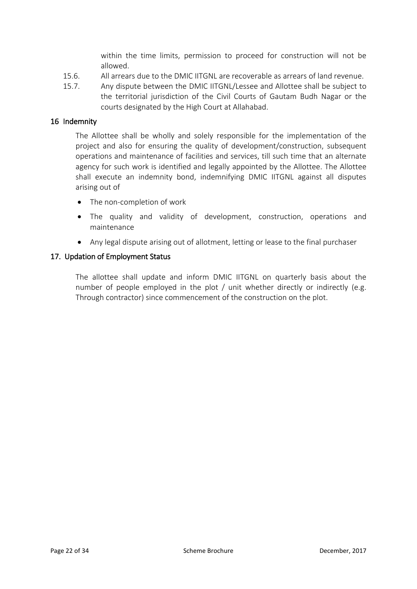within the time limits, permission to proceed for construction will not be allowed.

- 15.6. All arrears due to the DMIC IITGNL are recoverable as arrears of land revenue.
- 15.7. Any dispute between the DMIC IITGNL/Lessee and Allottee shall be subject to the territorial jurisdiction of the Civil Courts of Gautam Budh Nagar or the courts designated by the High Court at Allahabad.

#### 16 Indemnity

The Allottee shall be wholly and solely responsible for the implementation of the project and also for ensuring the quality of development/construction, subsequent operations and maintenance of facilities and services, till such time that an alternate agency for such work is identified and legally appointed by the Allottee. The Allottee shall execute an indemnity bond, indemnifying DMIC IITGNL against all disputes arising out of

- The non-completion of work
- The quality and validity of development, construction, operations and maintenance
- Any legal dispute arising out of allotment, letting or lease to the final purchaser

#### 17. Updation of Employment Status

The allottee shall update and inform DMIC IITGNL on quarterly basis about the number of people employed in the plot / unit whether directly or indirectly (e.g. Through contractor) since commencement of the construction on the plot.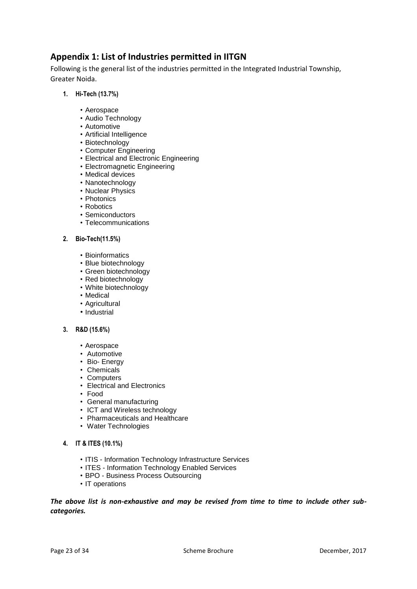# **Appendix 1: List of Industries permitted in IITGN**

Following is the general list of the industries permitted in the Integrated Industrial Township, Greater Noida.

- **1. Hi-Tech (13.7%)**
	- Aerospace
	- Audio Technology
	- Automotive
	- Artificial Intelligence
	- Biotechnology
	- Computer Engineering
	- Electrical and Electronic Engineering
	- Electromagnetic Engineering
	- Medical devices
	- Nanotechnology
	- Nuclear Physics
	- Photonics
	- Robotics
	- Semiconductors
	- Telecommunications

#### **2. Bio-Tech(11.5%)**

- Bioinformatics
- Blue biotechnology
- Green biotechnology
- Red biotechnology
- White biotechnology
- Medical
- Agricultural
- Industrial

#### **3. R&D (15.6%)**

- Aerospace
- Automotive
- Bio- Energy
- Chemicals
- Computers • Electrical and Electronics
- Food
- General manufacturing
- ICT and Wireless technology
- Pharmaceuticals and Healthcare
- Water Technologies
- **4. IT & ITES (10.1%)**
	- ITIS Information Technology Infrastructure Services
	- ITES Information Technology Enabled Services
	- BPO Business Process Outsourcing
	- IT operations

*The above list is non-exhaustive and may be revised from time to time to include other subcategories.*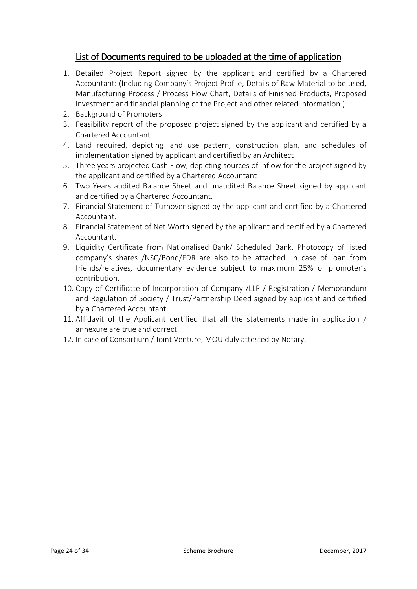# List of Documents required to be uploaded at the time of application

- 1. Detailed Project Report signed by the applicant and certified by a Chartered Accountant: (Including Company's Project Profile, Details of Raw Material to be used, Manufacturing Process / Process Flow Chart, Details of Finished Products, Proposed Investment and financial planning of the Project and other related information.)
- 2. Background of Promoters
- 3. Feasibility report of the proposed project signed by the applicant and certified by a Chartered Accountant
- 4. Land required, depicting land use pattern, construction plan, and schedules of implementation signed by applicant and certified by an Architect
- 5. Three years projected Cash Flow, depicting sources of inflow for the project signed by the applicant and certified by a Chartered Accountant
- 6. Two Years audited Balance Sheet and unaudited Balance Sheet signed by applicant and certified by a Chartered Accountant.
- 7. Financial Statement of Turnover signed by the applicant and certified by a Chartered Accountant.
- 8. Financial Statement of Net Worth signed by the applicant and certified by a Chartered Accountant.
- 9. Liquidity Certificate from Nationalised Bank/ Scheduled Bank. Photocopy of listed company's shares /NSC/Bond/FDR are also to be attached. In case of loan from friends/relatives, documentary evidence subject to maximum 25% of promoter's contribution.
- 10. Copy of Certificate of Incorporation of Company /LLP / Registration / Memorandum and Regulation of Society / Trust/Partnership Deed signed by applicant and certified by a Chartered Accountant.
- 11. Affidavit of the Applicant certified that all the statements made in application / annexure are true and correct.
- 12. In case of Consortium / Joint Venture, MOU duly attested by Notary.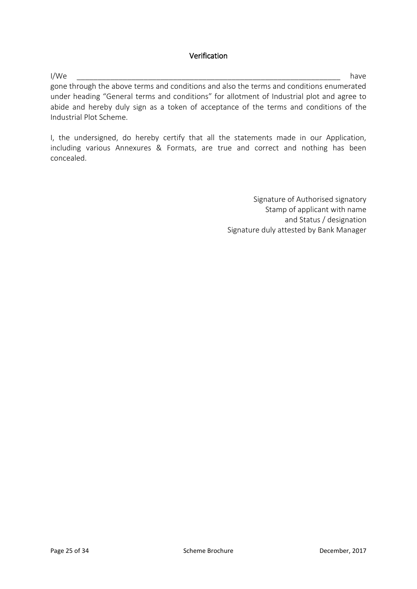#### Verification

I/We \_\_\_\_\_\_\_\_\_\_\_\_\_\_\_\_\_\_\_\_\_\_\_\_\_\_\_\_\_\_\_\_\_\_\_\_\_\_\_\_\_\_\_\_\_\_\_\_\_\_\_\_\_\_\_\_\_\_\_\_\_\_\_ have gone through the above terms and conditions and also the terms and conditions enumerated under heading "General terms and conditions" for allotment of Industrial plot and agree to abide and hereby duly sign as a token of acceptance of the terms and conditions of the Industrial Plot Scheme.

I, the undersigned, do hereby certify that all the statements made in our Application, including various Annexures & Formats, are true and correct and nothing has been concealed.

> Signature of Authorised signatory Stamp of applicant with name and Status / designation Signature duly attested by Bank Manager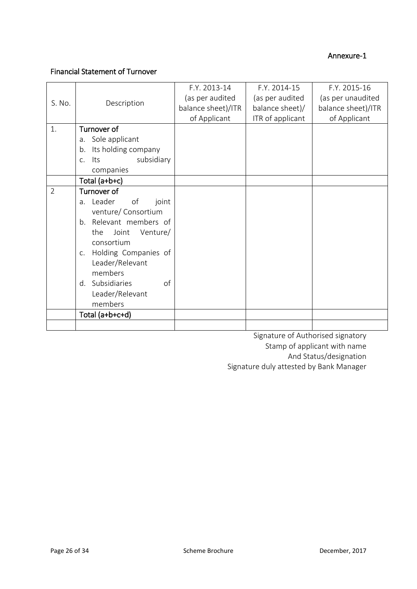#### Annexure-1

# Financial Statement of Turnover

|                |                                       | F.Y. 2013-14       | F.Y. 2014-15     | F.Y. 2015-16       |
|----------------|---------------------------------------|--------------------|------------------|--------------------|
| S. No.         | Description                           | (as per audited    | (as per audited  | (as per unaudited  |
|                |                                       | balance sheet)/ITR | balance sheet)/  | balance sheet)/ITR |
|                |                                       | of Applicant       | ITR of applicant | of Applicant       |
| 1.             | Turnover of                           |                    |                  |                    |
|                | a. Sole applicant                     |                    |                  |                    |
|                | Its holding company<br>b.             |                    |                  |                    |
|                | subsidiary<br>lts<br>$C_{\bullet}$    |                    |                  |                    |
|                | companies                             |                    |                  |                    |
|                | Total (a+b+c)                         |                    |                  |                    |
| $\overline{2}$ | Turnover of                           |                    |                  |                    |
|                | Leader<br>of<br>joint<br>a.           |                    |                  |                    |
|                | venture/ Consortium                   |                    |                  |                    |
|                | Relevant members of<br>$b_{1}$        |                    |                  |                    |
|                | the<br>Joint<br>Venture/              |                    |                  |                    |
|                |                                       |                    |                  |                    |
|                | consortium                            |                    |                  |                    |
|                | Holding Companies of<br>$C_{\bullet}$ |                    |                  |                    |
|                | Leader/Relevant                       |                    |                  |                    |
|                | members                               |                    |                  |                    |
|                | Subsidiaries<br>of<br>d.              |                    |                  |                    |
|                | Leader/Relevant                       |                    |                  |                    |
|                | members                               |                    |                  |                    |
|                |                                       |                    |                  |                    |
|                | Total (a+b+c+d)                       |                    |                  |                    |
|                |                                       |                    |                  |                    |

Signature of Authorised signatory Stamp of applicant with name And Status/designation Signature duly attested by Bank Manager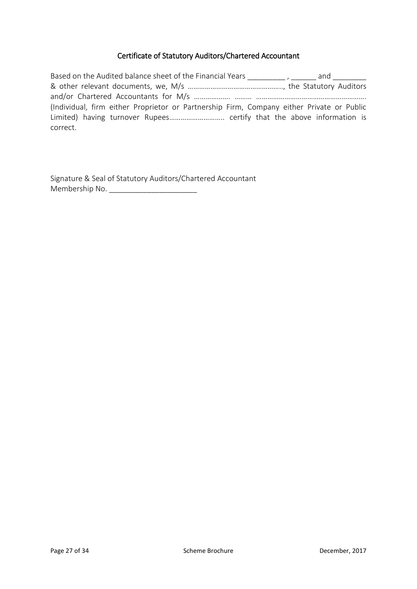# Certificate of Statutory Auditors/Chartered Accountant

| Based on the Audited balance sheet of the Financial Years _________, _______ and ________ |  |
|-------------------------------------------------------------------------------------------|--|
|                                                                                           |  |
|                                                                                           |  |
| (Individual, firm either Proprietor or Partnership Firm, Company either Private or Public |  |
|                                                                                           |  |
| correct.                                                                                  |  |

Signature & Seal of Statutory Auditors/Chartered Accountant Membership No. \_\_\_\_\_\_\_\_\_\_\_\_\_\_\_\_\_\_\_\_\_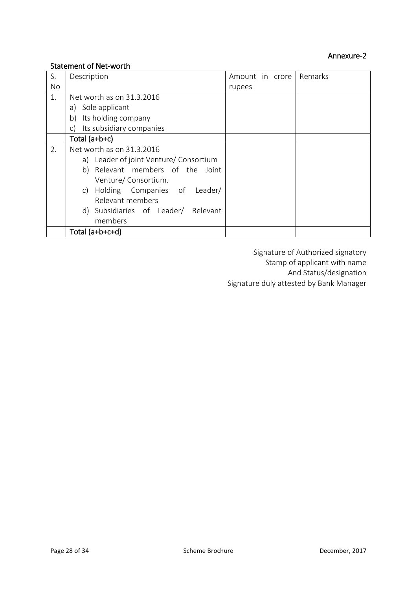## Statement of Net-worth

| S.        | Description                               | Amount in crore | Remarks |
|-----------|-------------------------------------------|-----------------|---------|
| <b>No</b> |                                           | rupees          |         |
| 1.        | Net worth as on 31.3.2016                 |                 |         |
|           | a) Sole applicant                         |                 |         |
|           | Its holding company<br>b)                 |                 |         |
|           | Its subsidiary companies<br>$\mathsf{C}$  |                 |         |
|           | Total (a+b+c)                             |                 |         |
| 2.        | Net worth as on 31.3.2016                 |                 |         |
|           | Leader of joint Venture/ Consortium<br>a) |                 |         |
|           | Relevant members of the Joint<br>b)       |                 |         |
|           | Venture/Consortium.                       |                 |         |
|           | Holding Companies of Leader/<br>C)        |                 |         |
|           | Relevant members                          |                 |         |
|           | d) Subsidiaries of Leader/ Relevant       |                 |         |
|           | members                                   |                 |         |
|           | Total (a+b+c+d)                           |                 |         |

Signature of Authorized signatory Stamp of applicant with name And Status/designation Signature duly attested by Bank Manager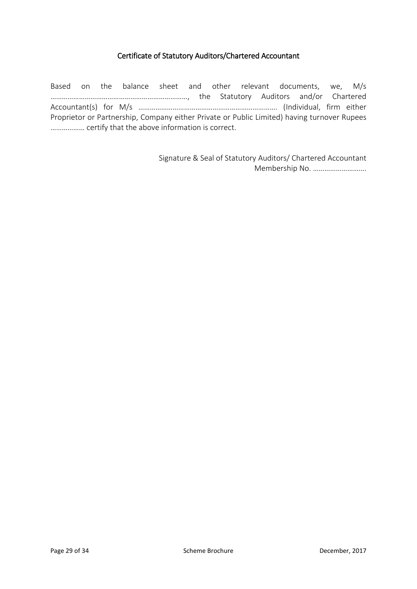#### Certificate of Statutory Auditors/Chartered Accountant

Based on the balance sheet and other relevant documents, we, M/s ………………………………………………………………, the Statutory Auditors and/or Chartered Accountant(s) for M/s ………………………………………………………………. (Individual, firm either Proprietor or Partnership, Company either Private or Public Limited) having turnover Rupees ……………… certify that the above information is correct.

> Signature & Seal of Statutory Auditors/ Chartered Accountant Membership No. ……………………….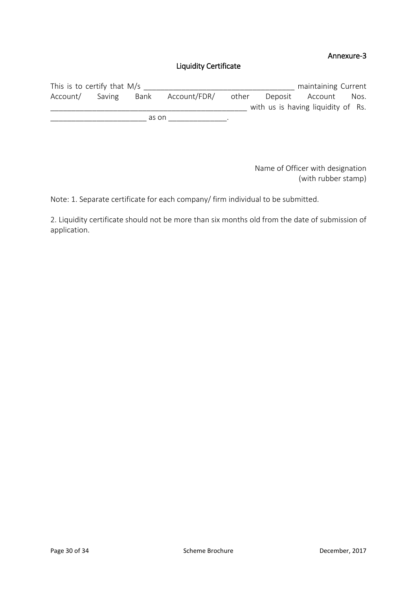# Annexure-3

# Liquidity Certificate

| This is to certify that $M/s$ |        |       |              |       |                                    | maintaining Current |      |
|-------------------------------|--------|-------|--------------|-------|------------------------------------|---------------------|------|
| Account/                      | Saving | Bank  | Account/FDR/ | other |                                    | Deposit Account     | Nos. |
|                               |        |       |              |       | with us is having liquidity of Rs. |                     |      |
|                               |        | as on |              |       |                                    |                     |      |

Name of Officer with designation (with rubber stamp)

Note: 1. Separate certificate for each company/ firm individual to be submitted.

2. Liquidity certificate should not be more than six months old from the date of submission of application.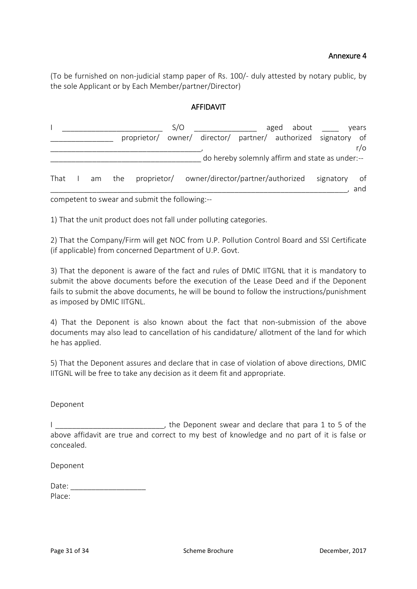#### Annexure 4

(To be furnished on non-judicial stamp paper of Rs. 100/- duly attested by notary public, by the sole Applicant or by Each Member/partner/Director)

#### AFFIDAVIT

|  |               |  |                                                            | S/O |                                                               |                                                 | aged about |  |           | years     |
|--|---------------|--|------------------------------------------------------------|-----|---------------------------------------------------------------|-------------------------------------------------|------------|--|-----------|-----------|
|  |               |  |                                                            |     | proprietor/ owner/ director/ partner/ authorized signatory of |                                                 |            |  |           |           |
|  |               |  |                                                            |     |                                                               |                                                 |            |  |           | $r/\circ$ |
|  |               |  |                                                            |     |                                                               | do hereby solemnly affirm and state as under:-- |            |  |           |           |
|  | That I am the |  |                                                            |     | proprietor/ owner/director/partner/authorized                 |                                                 |            |  | signatory | of<br>and |
|  |               |  | as personal to accorde the product that the fall subjects. |     |                                                               |                                                 |            |  |           |           |

competent to swear and submit the following:--

1) That the unit product does not fall under polluting categories.

2) That the Company/Firm will get NOC from U.P. Pollution Control Board and SSI Certificate (if applicable) from concerned Department of U.P. Govt.

3) That the deponent is aware of the fact and rules of DMIC IITGNL that it is mandatory to submit the above documents before the execution of the Lease Deed and if the Deponent fails to submit the above documents, he will be bound to follow the instructions/punishment as imposed by DMIC IITGNL.

4) That the Deponent is also known about the fact that non-submission of the above documents may also lead to cancellation of his candidature/ allotment of the land for which he has applied.

5) That the Deponent assures and declare that in case of violation of above directions, DMIC IITGNL will be free to take any decision as it deem fit and appropriate.

#### Deponent

|            |                                                                                            |  |  |  |  |  | the Deponent swear and declare that para 1 to 5 of the |  |  |  |
|------------|--------------------------------------------------------------------------------------------|--|--|--|--|--|--------------------------------------------------------|--|--|--|
|            | above affidavit are true and correct to my best of knowledge and no part of it is false or |  |  |  |  |  |                                                        |  |  |  |
| concealed. |                                                                                            |  |  |  |  |  |                                                        |  |  |  |

Deponent

| Date:  |  |  |  |
|--------|--|--|--|
| Place: |  |  |  |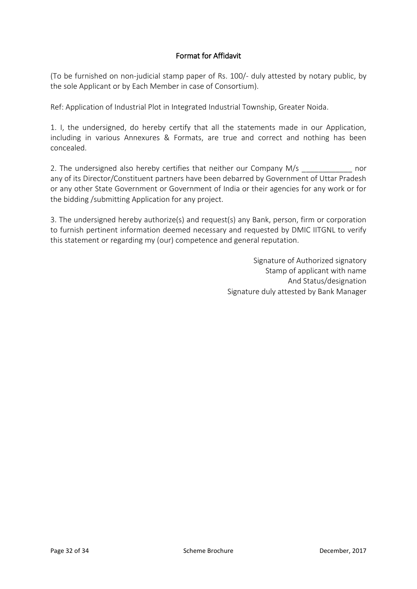## Format for Affidavit

(To be furnished on non-judicial stamp paper of Rs. 100/- duly attested by notary public, by the sole Applicant or by Each Member in case of Consortium).

Ref: Application of Industrial Plot in Integrated Industrial Township, Greater Noida.

1. I, the undersigned, do hereby certify that all the statements made in our Application, including in various Annexures & Formats, are true and correct and nothing has been concealed.

2. The undersigned also hereby certifies that neither our Company M/s company mor any of its Director/Constituent partners have been debarred by Government of Uttar Pradesh or any other State Government or Government of India or their agencies for any work or for the bidding /submitting Application for any project.

3. The undersigned hereby authorize(s) and request(s) any Bank, person, firm or corporation to furnish pertinent information deemed necessary and requested by DMIC IITGNL to verify this statement or regarding my (our) competence and general reputation.

> Signature of Authorized signatory Stamp of applicant with name And Status/designation Signature duly attested by Bank Manager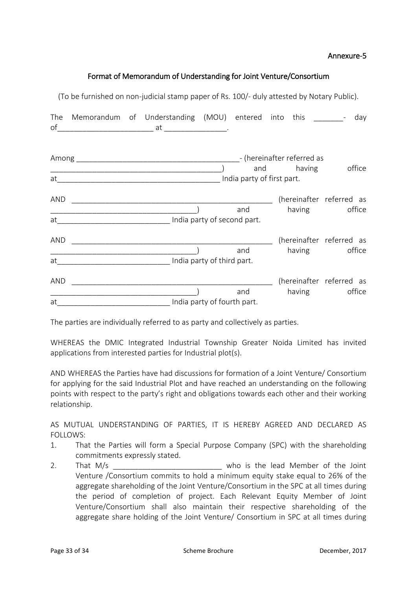#### Annexure-5

#### Format of Memorandum of Understanding for Joint Venture/Consortium

|     | (To be furnished on non-judicial stamp paper of Rs. 100/- duly attested by Notary Public).                           |  |     |                   |                                           |
|-----|----------------------------------------------------------------------------------------------------------------------|--|-----|-------------------|-------------------------------------------|
|     | The Memorandum of Understanding (MOU) entered into this _________-                                                   |  |     |                   | day                                       |
|     |                                                                                                                      |  |     | and having office |                                           |
| AND | <u> 1989 - Johann Barbara, martin amerikan basar dan berasal dalam basa dalam basar dalam basar dalam basa dalam</u> |  | and |                   | (hereinafter referred as<br>having office |
| AND | at__________________________________ India party of second part.                                                     |  | and |                   | (hereinafter referred as<br>having office |
| AND |                                                                                                                      |  | and |                   | (hereinafter referred as<br>having office |
|     | at__________________________________ India party of fourth part.                                                     |  |     |                   |                                           |

The parties are individually referred to as party and collectively as parties.

WHEREAS the DMIC Integrated Industrial Township Greater Noida Limited has invited applications from interested parties for Industrial plot(s).

AND WHEREAS the Parties have had discussions for formation of a Joint Venture/ Consortium for applying for the said Industrial Plot and have reached an understanding on the following points with respect to the party's right and obligations towards each other and their working relationship.

AS MUTUAL UNDERSTANDING OF PARTIES, IT IS HEREBY AGREED AND DECLARED AS FOLLOWS:

- 1. That the Parties will form a Special Purpose Company (SPC) with the shareholding commitments expressly stated.
- 2. That M/s 2. That M/s Venture /Consortium commits to hold a minimum equity stake equal to 26% of the aggregate shareholding of the Joint Venture/Consortium in the SPC at all times during the period of completion of project. Each Relevant Equity Member of Joint Venture/Consortium shall also maintain their respective shareholding of the aggregate share holding of the Joint Venture/ Consortium in SPC at all times during